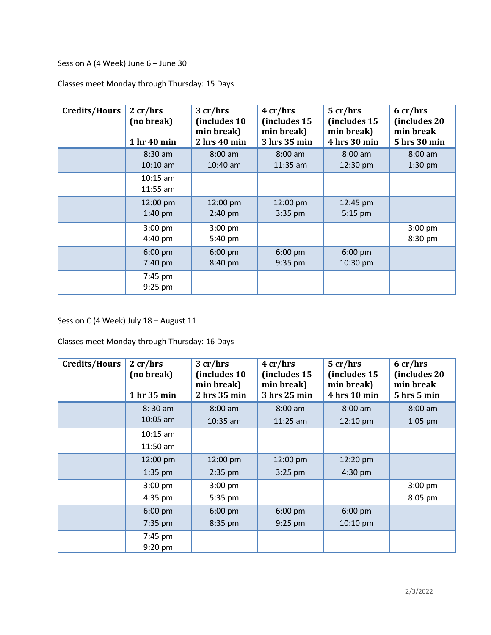Session A (4 Week) June 6 – June 30

Classes meet Monday through Thursday: 15 Days

| <b>Credits/Hours</b> | 2 cr/hrs<br>(no break)<br>1 hr 40 min | 3 cr/hrs<br>(includes 10<br>min break)<br>2 hrs 40 min | 4 cr/hrs<br>(includes 15<br>min break)<br>3 hrs 35 min | 5 cr/hrs<br>(includes 15<br>min break)<br>4 hrs 30 min | 6 cr/hrs<br>(includes 20<br>min break<br>5 hrs 30 min |
|----------------------|---------------------------------------|--------------------------------------------------------|--------------------------------------------------------|--------------------------------------------------------|-------------------------------------------------------|
|                      | $8:30$ am<br>$10:10$ am               | $8:00$ am<br>$10:40$ am                                | $8:00$ am<br>$11:35$ am                                | $8:00$ am<br>12:30 pm                                  | $8:00$ am<br>$1:30$ pm                                |
|                      | $10:15$ am<br>$11:55$ am              |                                                        |                                                        |                                                        |                                                       |
|                      | 12:00 pm<br>$1:40$ pm                 | 12:00 pm<br>$2:40$ pm                                  | 12:00 pm<br>$3:35$ pm                                  | 12:45 pm<br>$5:15$ pm                                  |                                                       |
|                      | $3:00$ pm<br>$4:40 \text{ pm}$        | $3:00$ pm<br>5:40 pm                                   |                                                        |                                                        | $3:00$ pm<br>8:30 pm                                  |
|                      | $6:00$ pm<br>7:40 pm                  | $6:00 \text{ pm}$<br>8:40 pm                           | $6:00$ pm<br>$9:35$ pm                                 | $6:00$ pm<br>10:30 pm                                  |                                                       |
|                      | 7:45 pm<br>9:25 pm                    |                                                        |                                                        |                                                        |                                                       |

Session C (4 Week) July 18 – August 11

Classes meet Monday through Thursday: 16 Days

| <b>Credits/Hours</b> | 2 cr/hrs<br>(no break)<br>1 hr 35 min | 3 cr/hrs<br>(includes 10)<br>min break)<br>2 hrs 35 min | 4 cr/hrs<br>(includes 15<br>min break)<br>3 hrs 25 min | 5 cr/hrs<br>(includes 15<br>min break)<br>4 hrs 10 min | 6 cr/hrs<br>(includes 20<br>min break<br>5 hrs 5 min |
|----------------------|---------------------------------------|---------------------------------------------------------|--------------------------------------------------------|--------------------------------------------------------|------------------------------------------------------|
|                      | $8:30$ am                             | $8:00$ am                                               | $8:00$ am                                              | $8:00$ am                                              | $8:00$ am                                            |
|                      | 10:05 am                              | $10:35$ am                                              | $11:25$ am                                             | 12:10 pm                                               | 1:05 pm                                              |
|                      | $10:15$ am                            |                                                         |                                                        |                                                        |                                                      |
|                      | $11:50$ am                            |                                                         |                                                        |                                                        |                                                      |
|                      | 12:00 pm                              | 12:00 pm                                                | 12:00 pm                                               | 12:20 pm                                               |                                                      |
|                      | $1:35$ pm                             | $2:35$ pm                                               | $3:25$ pm                                              | 4:30 pm                                                |                                                      |
|                      | $3:00$ pm                             | $3:00$ pm                                               |                                                        |                                                        | 3:00 pm                                              |
|                      | $4:35$ pm                             | 5:35 pm                                                 |                                                        |                                                        | 8:05 pm                                              |
|                      | $6:00$ pm                             | $6:00$ pm                                               | $6:00$ pm                                              | $6:00$ pm                                              |                                                      |
|                      | 7:35 pm                               | 8:35 pm                                                 | $9:25$ pm                                              | $10:10$ pm                                             |                                                      |
|                      | 7:45 pm                               |                                                         |                                                        |                                                        |                                                      |
|                      | $9:20$ pm                             |                                                         |                                                        |                                                        |                                                      |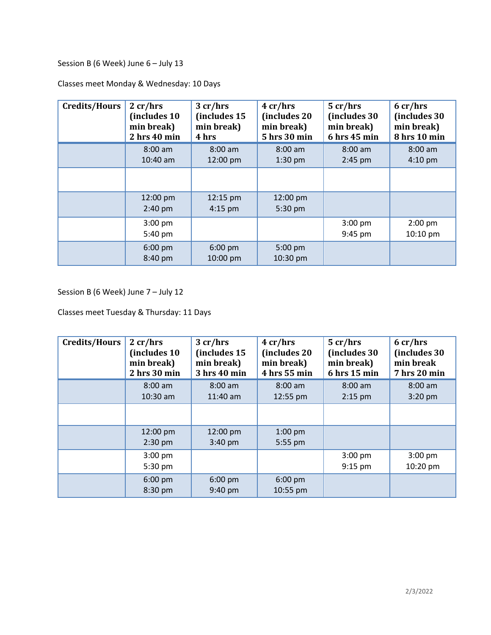Session B (6 Week) June 6 - July 13

| Credits/Hours | 2 cr/hrs<br>(includes 10<br>min break)<br>2 hrs 40 min | 3 cr/hrs<br>(includes 15<br>min break)<br>4 hrs | 4 cr/hrs<br>(includes 20)<br>min break)<br>5 hrs 30 min | 5 cr/hrs<br>(includes 30)<br>min break)<br>6 hrs 45 min | 6 cr/hrs<br>(includes 30)<br>min break)<br>8 hrs 10 min |
|---------------|--------------------------------------------------------|-------------------------------------------------|---------------------------------------------------------|---------------------------------------------------------|---------------------------------------------------------|
|               | $8:00$ am<br>$10:40$ am                                | $8:00$ am<br>12:00 pm                           | $8:00$ am<br>$1:30$ pm                                  | $8:00$ am<br>$2:45$ pm                                  | $8:00$ am<br>$4:10 \text{ pm}$                          |
|               |                                                        |                                                 |                                                         |                                                         |                                                         |
|               | 12:00 pm<br>$2:40$ pm                                  | 12:15 pm<br>$4:15$ pm                           | 12:00 pm<br>5:30 pm                                     |                                                         |                                                         |
|               | $3:00$ pm<br>5:40 pm                                   |                                                 |                                                         | $3:00$ pm<br>9:45 pm                                    | $2:00$ pm<br>10:10 pm                                   |
|               | $6:00 \text{ pm}$<br>8:40 pm                           | $6:00 \text{ pm}$<br>10:00 pm                   | 5:00 pm<br>10:30 pm                                     |                                                         |                                                         |

Classes meet Monday & Wednesday: 10 Days

Session B (6 Week) June 7 – July 12

Classes meet Tuesday & Thursday: 11 Days

| Credits/Hours | 2 cr/hrs<br>(includes 10<br>min break)<br>2 hrs 30 min | 3 cr/hrs<br>(includes 15<br>min break)<br>3 hrs 40 min | 4 cr/hrs<br>(includes 20<br>min break)<br>4 hrs 55 min | 5 cr/hrs<br>(includes 30<br>min break)<br>6 hrs 15 min | 6 cr/hrs<br>(includes 30<br>min break<br>7 hrs 20 min |
|---------------|--------------------------------------------------------|--------------------------------------------------------|--------------------------------------------------------|--------------------------------------------------------|-------------------------------------------------------|
|               | $8:00$ am<br>$10:30$ am                                | $8:00$ am<br>$11:40$ am                                | $8:00$ am<br>12:55 pm                                  | $8:00$ am<br>$2:15$ pm                                 | $8:00$ am<br>$3:20$ pm                                |
|               |                                                        |                                                        |                                                        |                                                        |                                                       |
|               | 12:00 pm<br>$2:30$ pm                                  | 12:00 pm<br>$3:40$ pm                                  | $1:00$ pm<br>5:55 pm                                   |                                                        |                                                       |
|               | $3:00$ pm<br>5:30 pm                                   |                                                        |                                                        | $3:00$ pm<br>$9:15$ pm                                 | $3:00$ pm<br>10:20 pm                                 |
|               | $6:00$ pm<br>8:30 pm                                   | $6:00 \text{ pm}$<br>9:40 pm                           | $6:00$ pm<br>10:55 pm                                  |                                                        |                                                       |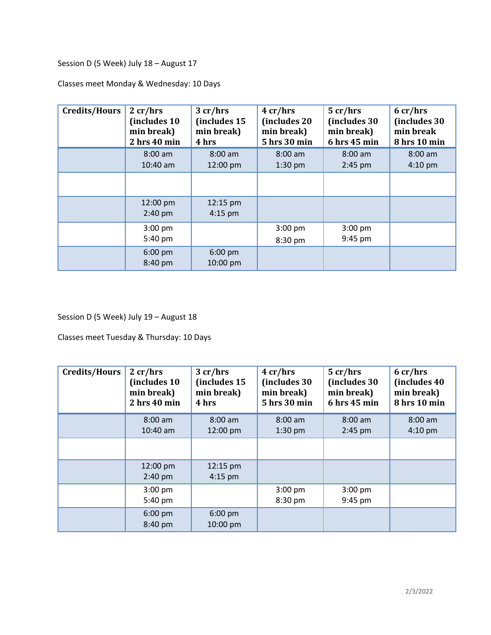Session D (5 Week) July 18 – August 17

Classes meet Monday & Wednesday: 10 Days

| <b>Credits/Hours</b> | 2 cr/hrs<br>(includes 10<br>min break)<br>2 hrs 40 min | 3 cr/hrs<br>(includes 15<br>min break)<br>4 hrs | 4 cr/hrs<br>(includes 20)<br>min break)<br>5 hrs 30 min | 5 cr/hrs<br>(includes 30)<br>min break)<br>6 hrs 45 min | 6 cr/hrs<br>(includes 30)<br>min break<br>8 hrs 10 min |
|----------------------|--------------------------------------------------------|-------------------------------------------------|---------------------------------------------------------|---------------------------------------------------------|--------------------------------------------------------|
|                      | $8:00$ am<br>$10:40$ am                                | $8:00$ am<br>12:00 pm                           | $8:00$ am<br>$1:30$ pm                                  | $8:00$ am<br>$2:45$ pm                                  | $8:00$ am<br>$4:10 \text{ pm}$                         |
|                      |                                                        |                                                 |                                                         |                                                         |                                                        |
|                      | 12:00 pm<br>$2:40$ pm                                  | 12:15 pm<br>$4:15$ pm                           |                                                         |                                                         |                                                        |
|                      | $3:00$ pm<br>5:40 pm                                   |                                                 | $3:00$ pm<br>8:30 pm                                    | 3:00 pm<br>9:45 pm                                      |                                                        |
|                      | $6:00 \text{ pm}$<br>8:40 pm                           | $6:00 \text{ pm}$<br>10:00 pm                   |                                                         |                                                         |                                                        |

Session D (5 Week) July 19 – August 18

Classes meet Tuesday & Thursday: 10 Days

| <b>Credits/Hours</b> | 2 cr/hrs<br>(includes 10<br>min break)<br>2 hrs 40 min | 3 cr/hrs<br>(includes 15<br>min break)<br>4 hrs | 4 cr/hrs<br>(includes 30<br>min break)<br>5 hrs 30 min | 5 cr/hrs<br>(includes 30<br>min break)<br>6 hrs 45 min | 6 cr/hrs<br>(includes 40)<br>min break)<br>8 hrs 10 min |
|----------------------|--------------------------------------------------------|-------------------------------------------------|--------------------------------------------------------|--------------------------------------------------------|---------------------------------------------------------|
|                      | $8:00$ am                                              | $8:00$ am                                       | $8:00$ am                                              | $8:00$ am                                              | $8:00$ am                                               |
|                      | $10:40$ am                                             | 12:00 pm                                        | $1:30$ pm                                              | $2:45$ pm                                              | $4:10 \text{ pm}$                                       |
|                      |                                                        |                                                 |                                                        |                                                        |                                                         |
|                      | 12:00 pm                                               | 12:15 pm                                        |                                                        |                                                        |                                                         |
|                      | $2:40$ pm                                              | $4:15$ pm                                       |                                                        |                                                        |                                                         |
|                      | $3:00$ pm                                              |                                                 | $3:00$ pm                                              | $3:00$ pm                                              |                                                         |
|                      | 5:40 pm                                                |                                                 | 8:30 pm                                                | 9:45 pm                                                |                                                         |
|                      | $6:00$ pm<br>8:40 pm                                   | $6:00 \text{ pm}$<br>10:00 pm                   |                                                        |                                                        |                                                         |